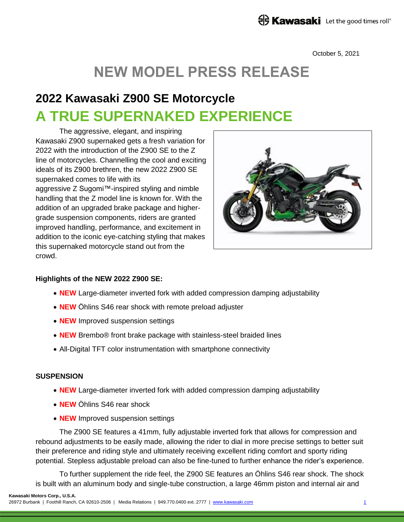October 5, 2021

# **NEW MODEL PRESS RELEASE**

## **2022 Kawasaki Z900 SE Motorcycle A TRUE SUPERNAKED EXPERIENCE**

The aggressive, elegant, and inspiring Kawasaki Z900 supernaked gets a fresh variation for 2022 with the introduction of the Z900 SE to the Z line of motorcycles. Channelling the cool and exciting ideals of its Z900 brethren, the new 2022 Z900 SE supernaked comes to life with its aggressive Z Sugomi™-inspired styling and nimble handling that the Z model line is known for. With the addition of an upgraded brake package and highergrade suspension components, riders are granted improved handling, performance, and excitement in addition to the iconic eye-catching styling that makes this supernaked motorcycle stand out from the crowd.



#### **Highlights of the NEW 2022 Z900 SE:**

- **NEW** Large-diameter inverted fork with added compression damping adjustability
- **NEW** Öhlins S46 rear shock with remote preload adjuster
- **NEW** Improved suspension settings
- **NEW** Brembo® front brake package with stainless-steel braided lines
- All-Digital TFT color instrumentation with smartphone connectivity

#### **SUSPENSION**

- **NEW** Large-diameter inverted fork with added compression damping adjustability
- **NEW** Öhlins S46 rear shock
- **NEW** Improved suspension settings

The Z900 SE features a 41mm, fully adjustable inverted fork that allows for compression and rebound adjustments to be easily made, allowing the rider to dial in more precise settings to better suit their preference and riding style and ultimately receiving excellent riding comfort and sporty riding potential. Stepless adjustable preload can also be fine-tuned to further enhance the rider's experience.

To further supplement the ride feel, the Z900 SE features an Öhlins S46 rear shock. The shock is built with an aluminum body and single-tube construction, a large 46mm piston and internal air and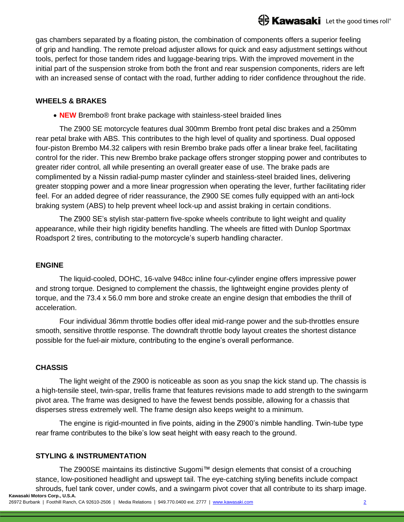gas chambers separated by a floating piston, the combination of components offers a superior feeling of grip and handling. The remote preload adjuster allows for quick and easy adjustment settings without tools, perfect for those tandem rides and luggage-bearing trips. With the improved movement in the initial part of the suspension stroke from both the front and rear suspension components, riders are left with an increased sense of contact with the road, further adding to rider confidence throughout the ride.

## **WHEELS & BRAKES**

**NEW** Brembo® front brake package with stainless-steel braided lines

The Z900 SE motorcycle features dual 300mm Brembo front petal disc brakes and a 250mm rear petal brake with ABS. This contributes to the high level of quality and sportiness. Dual opposed four-piston Brembo M4.32 calipers with resin Brembo brake pads offer a linear brake feel, facilitating control for the rider. This new Brembo brake package offers stronger stopping power and contributes to greater rider control, all while presenting an overall greater ease of use. The brake pads are complimented by a Nissin radial-pump master cylinder and stainless-steel braided lines, delivering greater stopping power and a more linear progression when operating the lever, further facilitating rider feel. For an added degree of rider reassurance, the Z900 SE comes fully equipped with an anti-lock braking system (ABS) to help prevent wheel lock-up and assist braking in certain conditions.

The Z900 SE's stylish star-pattern five-spoke wheels contribute to light weight and quality appearance, while their high rigidity benefits handling. The wheels are fitted with Dunlop Sportmax Roadsport 2 tires, contributing to the motorcycle's superb handling character.

## **ENGINE**

The liquid-cooled, DOHC, 16-valve 948cc inline four-cylinder engine offers impressive power and strong torque. Designed to complement the chassis, the lightweight engine provides plenty of torque, and the 73.4 x 56.0 mm bore and stroke create an engine design that embodies the thrill of acceleration.

Four individual 36mm throttle bodies offer ideal mid-range power and the sub-throttles ensure smooth, sensitive throttle response. The downdraft throttle body layout creates the shortest distance possible for the fuel-air mixture, contributing to the engine's overall performance.

#### **CHASSIS**

The light weight of the Z900 is noticeable as soon as you snap the kick stand up. The chassis is a high-tensile steel, twin-spar, trellis frame that features revisions made to add strength to the swingarm pivot area. The frame was designed to have the fewest bends possible, allowing for a chassis that disperses stress extremely well. The frame design also keeps weight to a minimum.

The engine is rigid-mounted in five points, aiding in the Z900's nimble handling. Twin-tube type rear frame contributes to the bike's low seat height with easy reach to the ground.

#### **STYLING & INSTRUMENTATION**

**Kawasaki Motors Corp., U.S.A.** The Z900SE maintains its distinctive Sugomi™ design elements that consist of a crouching stance, low-positioned headlight and upswept tail. The eye-catching styling benefits include compact shrouds, fuel tank cover, under cowls, and a swingarm pivot cover that all contribute to its sharp image.

26972 Burbank | Foothill Ranch, CA 92610-2506 | Media Relations | 949.770.0400 ext. 2777 | [www.kawasaki.com](http://www.kawasaki.com/) 2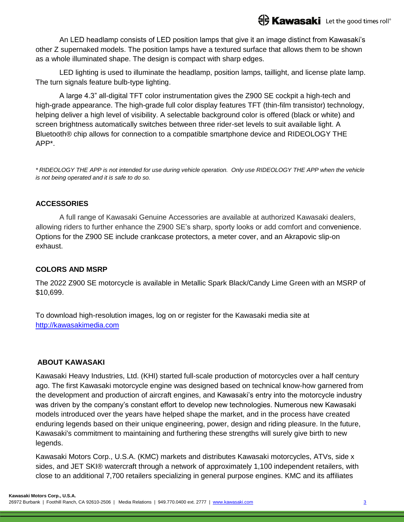An LED headlamp consists of LED position lamps that give it an image distinct from Kawasaki's other Z supernaked models. The position lamps have a textured surface that allows them to be shown as a whole illuminated shape. The design is compact with sharp edges.

LED lighting is used to illuminate the headlamp, position lamps, taillight, and license plate lamp. The turn signals feature bulb-type lighting.

A large 4.3" all-digital TFT color instrumentation gives the Z900 SE cockpit a high-tech and high-grade appearance. The high-grade full color display features TFT (thin-film transistor) technology, helping deliver a high level of visibility. A selectable background color is offered (black or white) and screen brightness automatically switches between three rider-set levels to suit available light. A Bluetooth® chip allows for connection to a compatible smartphone device and RIDEOLOGY THE APP\*.

*\* RIDEOLOGY THE APP is not intended for use during vehicle operation. Only use RIDEOLOGY THE APP when the vehicle is not being operated and it is safe to do so.*

## **ACCESSORIES**

A full range of Kawasaki Genuine Accessories are available at authorized Kawasaki dealers, allowing riders to further enhance the Z900 SE's sharp, sporty looks or add comfort and convenience. Options for the Z900 SE include crankcase protectors, a meter cover, and an Akrapovic slip-on exhaust.

#### **COLORS AND MSRP**

The 2022 Z900 SE motorcycle is available in Metallic Spark Black/Candy Lime Green with an MSRP of \$10,699.

To download high-resolution images, log on or register for the Kawasaki media site at [http://kawasakimedia.com](http://kawasakimedia.com/)

#### **ABOUT KAWASAKI**

Kawasaki Heavy Industries, Ltd. (KHI) started full-scale production of motorcycles over a half century ago. The first Kawasaki motorcycle engine was designed based on technical know-how garnered from the development and production of aircraft engines, and Kawasaki's entry into the motorcycle industry was driven by the company's constant effort to develop new technologies. Numerous new Kawasaki models introduced over the years have helped shape the market, and in the process have created enduring legends based on their unique engineering, power, design and riding pleasure. In the future, Kawasaki's commitment to maintaining and furthering these strengths will surely give birth to new legends.

Kawasaki Motors Corp., U.S.A. (KMC) markets and distributes Kawasaki motorcycles, ATVs, side x sides, and JET SKI® watercraft through a network of approximately 1,100 independent retailers, with close to an additional 7,700 retailers specializing in general purpose engines. KMC and its affiliates